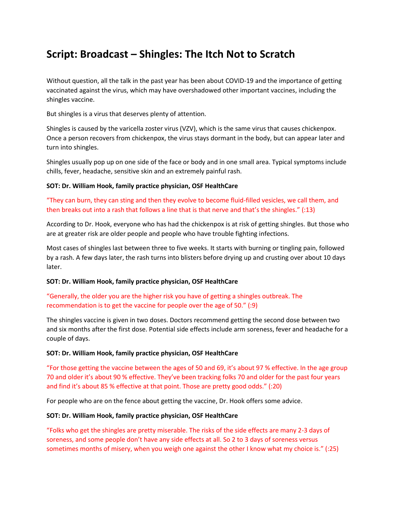# **Script: Broadcast – Shingles: The Itch Not to Scratch**

Without question, all the talk in the past year has been about COVID-19 and the importance of getting vaccinated against the virus, which may have overshadowed other important vaccines, including the shingles vaccine.

But shingles is a virus that deserves plenty of attention.

Shingles is caused by the varicella zoster virus (VZV), which is the same virus that causes chickenpox. Once a person recovers from chickenpox, the virus stays dormant in the body, but can appear later and turn into shingles.

Shingles usually pop up on one side of the face or body and in one small area. Typical symptoms include chills, fever, headache, sensitive skin and an extremely painful rash.

### **SOT: Dr. William Hook, family practice physician, OSF HealthCare**

"They can burn, they can sting and then they evolve to become fluid-filled vesicles, we call them, and then breaks out into a rash that follows a line that is that nerve and that's the shingles." (:13)

According to Dr. Hook, everyone who has had the chickenpox is at risk of getting shingles. But those who are at greater risk are older people and people who have trouble fighting infections.

Most cases of shingles last between three to five weeks. It starts with burning or tingling pain, followed by a rash. A few days later, the rash turns into blisters before drying up and crusting over about 10 days later.

### **SOT: Dr. William Hook, family practice physician, OSF HealthCare**

"Generally, the older you are the higher risk you have of getting a shingles outbreak. The recommendation is to get the vaccine for people over the age of 50." (:9)

The shingles vaccine is given in two doses. Doctors recommend getting the second dose between two and six months after the first dose. Potential side effects include arm soreness, fever and headache for a couple of days.

### **SOT: Dr. William Hook, family practice physician, OSF HealthCare**

"For those getting the vaccine between the ages of 50 and 69, it's about 97 % effective. In the age group 70 and older it's about 90 % effective. They've been tracking folks 70 and older for the past four years and find it's about 85 % effective at that point. Those are pretty good odds." (:20)

For people who are on the fence about getting the vaccine, Dr. Hook offers some advice.

### **SOT: Dr. William Hook, family practice physician, OSF HealthCare**

"Folks who get the shingles are pretty miserable. The risks of the side effects are many 2-3 days of soreness, and some people don't have any side effects at all. So 2 to 3 days of soreness versus sometimes months of misery, when you weigh one against the other I know what my choice is." (:25)